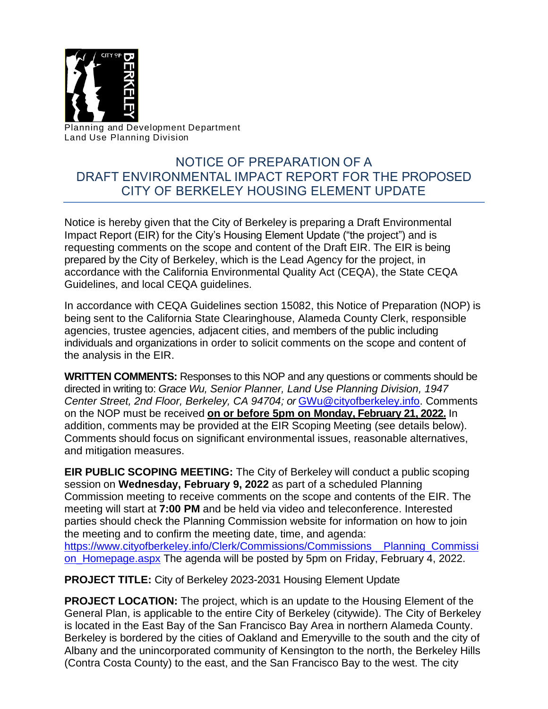

Planning and Development Department Land Use Planning Division

## NOTICE OF PREPARATION OF A DRAFT ENVIRONMENTAL IMPACT REPORT FOR THE PROPOSED CITY OF BERKELEY HOUSING ELEMENT UPDATE

Notice is hereby given that the City of Berkeley is preparing a Draft Environmental Impact Report (EIR) for the City's Housing Element Update ("the project") and is requesting comments on the scope and content of the Draft EIR. The EIR is being prepared by the City of Berkeley, which is the Lead Agency for the project, in accordance with the California Environmental Quality Act (CEQA), the State CEQA Guidelines, and local CEQA guidelines.

In accordance with CEQA Guidelines section 15082, this Notice of Preparation (NOP) is being sent to the California State Clearinghouse, Alameda County Clerk, responsible agencies, trustee agencies, adjacent cities, and members of the public including individuals and organizations in order to solicit comments on the scope and content of the analysis in the EIR.

**WRITTEN COMMENTS:** Responses to this NOP and any questions or comments should be directed in writing to: *Grace Wu, Senior Planner, Land Use Planning Division, 1947 Center Street, 2nd Floor, Berkeley, CA 94704; or* [GWu@cityofberkeley.info.](mailto:GWu@cityofberkeley.info) Comments on the NOP must be received **on or before 5pm on Monday, February 21, 2022.** In addition, comments may be provided at the EIR Scoping Meeting (see details below). Comments should focus on significant environmental issues, reasonable alternatives, and mitigation measures.

**EIR PUBLIC SCOPING MEETING:** The City of Berkeley will conduct a public scoping session on **Wednesday, February 9, 2022** as part of a scheduled Planning Commission meeting to receive comments on the scope and contents of the EIR. The meeting will start at **7:00 PM** and be held via video and teleconference. Interested parties should check the Planning Commission website for information on how to join the meeting and to confirm the meeting date, time, and agenda: [https://www.cityofberkeley.info/Clerk/Commissions/Commissions\\_\\_Planning\\_Commissi](https://www.cityofberkeley.info/Clerk/Commissions/Commissions__Planning_Commission_Homepage.aspx) [on\\_Homepage.aspx](https://www.cityofberkeley.info/Clerk/Commissions/Commissions__Planning_Commission_Homepage.aspx) The agenda will be posted by 5pm on Friday, February 4, 2022.

**PROJECT TITLE:** City of Berkeley 2023-2031 Housing Element Update

**PROJECT LOCATION:** The project, which is an update to the Housing Element of the General Plan, is applicable to the entire City of Berkeley (citywide). The City of Berkeley is located in the East Bay of the San Francisco Bay Area in northern Alameda County. Berkeley is bordered by the cities of Oakland and Emeryville to the south and the city of Albany and the unincorporated community of Kensington to the north, the Berkeley Hills (Contra Costa County) to the east, and the San Francisco Bay to the west. The city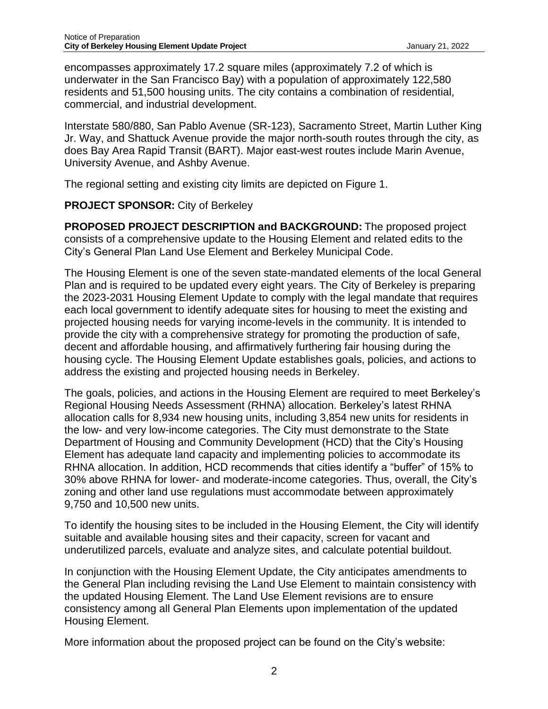encompasses approximately 17.2 square miles (approximately 7.2 of which is underwater in the San Francisco Bay) with a population of approximately 122,580 residents and 51,500 housing units. The city contains a combination of residential, commercial, and industrial development.

Interstate 580/880, San Pablo Avenue (SR-123), Sacramento Street, Martin Luther King Jr. Way, and Shattuck Avenue provide the major north-south routes through the city, as does Bay Area Rapid Transit (BART). Major east-west routes include Marin Avenue, University Avenue, and Ashby Avenue.

The regional setting and existing city limits are depicted on Figure 1.

## **PROJECT SPONSOR:** City of Berkeley

**PROPOSED PROJECT DESCRIPTION and BACKGROUND:** The proposed project consists of a comprehensive update to the Housing Element and related edits to the City's General Plan Land Use Element and Berkeley Municipal Code.

The Housing Element is one of the seven state-mandated elements of the local General Plan and is required to be updated every eight years. The City of Berkeley is preparing the 2023-2031 Housing Element Update to comply with the legal mandate that requires each local government to identify adequate sites for housing to meet the existing and projected housing needs for varying income-levels in the community. It is intended to provide the city with a comprehensive strategy for promoting the production of safe, decent and affordable housing, and affirmatively furthering fair housing during the housing cycle. The Housing Element Update establishes goals, policies, and actions to address the existing and projected housing needs in Berkeley.

The goals, policies, and actions in the Housing Element are required to meet Berkeley's Regional Housing Needs Assessment (RHNA) allocation. Berkeley's latest RHNA allocation calls for 8,934 new housing units, including 3,854 new units for residents in the low- and very low-income categories. The City must demonstrate to the State Department of Housing and Community Development (HCD) that the City's Housing Element has adequate land capacity and implementing policies to accommodate its RHNA allocation. In addition, HCD recommends that cities identify a "buffer" of 15% to 30% above RHNA for lower- and moderate-income categories. Thus, overall, the City's zoning and other land use regulations must accommodate between approximately 9,750 and 10,500 new units.

To identify the housing sites to be included in the Housing Element, the City will identify suitable and available housing sites and their capacity, screen for vacant and underutilized parcels, evaluate and analyze sites, and calculate potential buildout.

In conjunction with the Housing Element Update, the City anticipates amendments to the General Plan including revising the Land Use Element to maintain consistency with the updated Housing Element. The Land Use Element revisions are to ensure consistency among all General Plan Elements upon implementation of the updated Housing Element.

More information about the proposed project can be found on the City's website: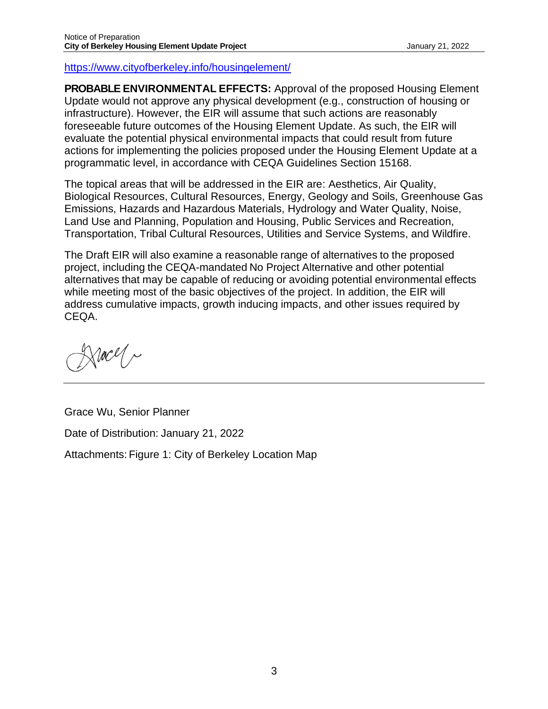<https://www.cityofberkeley.info/housingelement/>

**PROBABLE ENVIRONMENTAL EFFECTS:** Approval of the proposed Housing Element Update would not approve any physical development (e.g., construction of housing or infrastructure). However, the EIR will assume that such actions are reasonably foreseeable future outcomes of the Housing Element Update. As such, the EIR will evaluate the potential physical environmental impacts that could result from future actions for implementing the policies proposed under the Housing Element Update at a programmatic level, in accordance with CEQA Guidelines Section 15168.

The topical areas that will be addressed in the EIR are: Aesthetics, Air Quality, Biological Resources, Cultural Resources, Energy, Geology and Soils, Greenhouse Gas Emissions, Hazards and Hazardous Materials, Hydrology and Water Quality, Noise, Land Use and Planning, Population and Housing, Public Services and Recreation, Transportation, Tribal Cultural Resources, Utilities and Service Systems, and Wildfire.

The Draft EIR will also examine a reasonable range of alternatives to the proposed project, including the CEQA-mandated No Project Alternative and other potential alternatives that may be capable of reducing or avoiding potential environmental effects while meeting most of the basic objectives of the project. In addition, the EIR will address cumulative impacts, growth inducing impacts, and other issues required by CEQA.

Nacel ~

Grace Wu, Senior Planner Date of Distribution: January 21, 2022 Attachments: Figure 1: City of Berkeley Location Map